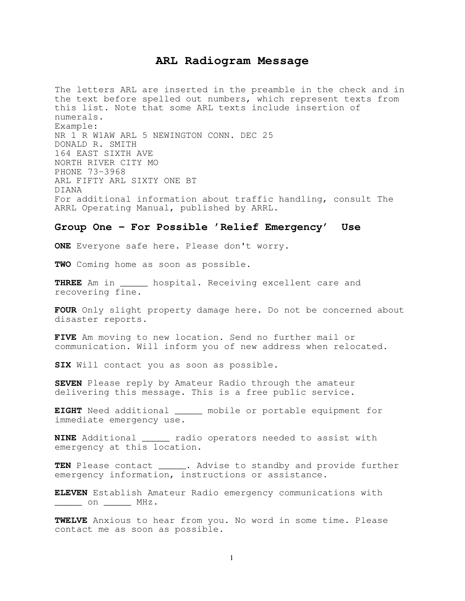## **ARL Radiogram Message**

The letters ARL are inserted in the preamble in the check and in the text before spelled out numbers, which represent texts from this list. Note that some ARL texts include insertion of numerals. Example: NR 1 R W1AW ARL 5 NEWINGTON CONN. DEC 25 DONALD R. SMITH 164 EAST SIXTH AVE NORTH RIVER CITY MO PHONE 73-3968 ARL FIFTY ARL SIXTY ONE BT DIANA For additional information about traffic handling, consult The ARRL Operating Manual, published by ARRL.

## **Group One - For Possible 'Relief Emergency' Use**

**ONE** Everyone safe here. Please don't worry.

**TWO** Coming home as soon as possible.

**THREE** Am in \_\_\_\_\_ hospital. Receiving excellent care and recovering fine.

**FOUR** Only slight property damage here. Do not be concerned about disaster reports.

**FIVE** Am moving to new location. Send no further mail or communication. Will inform you of new address when relocated.

**SIX** Will contact you as soon as possible.

**SEVEN** Please reply by Amateur Radio through the amateur delivering this message. This is a free public service.

**EIGHT** Need additional \_\_\_\_\_ mobile or portable equipment for immediate emergency use.

**NINE** Additional \_\_\_\_\_ radio operators needed to assist with emergency at this location.

**TEN** Please contact \_\_\_\_\_. Advise to standby and provide further emergency information, instructions or assistance.

**ELEVEN** Establish Amateur Radio emergency communications with \_\_\_\_\_ on \_\_\_\_\_ MHz.

**TWELVE** Anxious to hear from you. No word in some time. Please contact me as soon as possible.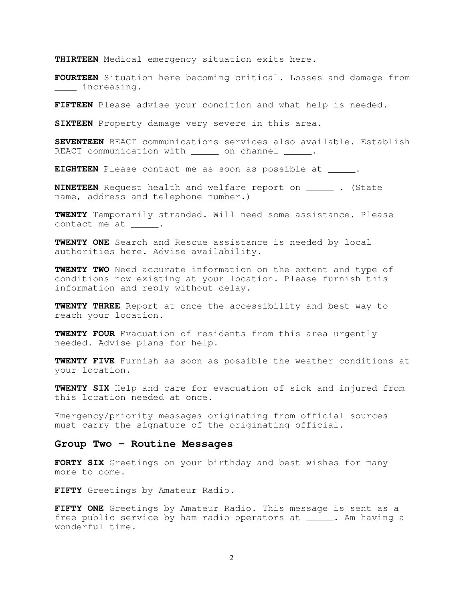**THIRTEEN** Medical emergency situation exits here.

**FOURTEEN** Situation here becoming critical. Losses and damage from \_\_\_\_ increasing.

**FIFTEEN** Please advise your condition and what help is needed.

**SIXTEEN** Property damage very severe in this area.

**SEVENTEEN** REACT communications services also available. Establish REACT communication with on channel .

**EIGHTEEN** Please contact me as soon as possible at \_\_\_\_\_.

**NINETEEN** Request health and welfare report on \_\_\_\_\_ . (State name, address and telephone number.)

**TWENTY** Temporarily stranded. Will need some assistance. Please contact me at .

**TWENTY ONE** Search and Rescue assistance is needed by local authorities here. Advise availability.

**TWENTY TWO** Need accurate information on the extent and type of conditions now existing at your location. Please furnish this information and reply without delay.

**TWENTY THREE** Report at once the accessibility and best way to reach your location.

**TWENTY FOUR** Evacuation of residents from this area urgently needed. Advise plans for help.

**TWENTY FIVE** Furnish as soon as possible the weather conditions at your location.

**TWENTY SIX** Help and care for evacuation of sick and injured from this location needed at once.

Emergency/priority messages originating from official sources must carry the signature of the originating official.

## **Group Two - Routine Messages**

**FORTY SIX** Greetings on your birthday and best wishes for many more to come.

**FIFTY** Greetings by Amateur Radio.

**FIFTY ONE** Greetings by Amateur Radio. This message is sent as a free public service by ham radio operators at \_\_\_\_\_. Am having a wonderful time.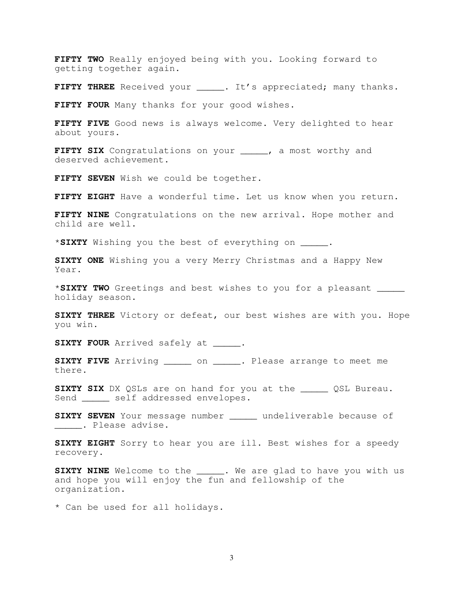**FIFTY TWO** Really enjoyed being with you. Looking forward to getting together again.

**FIFTY THREE** Received your \_\_\_\_\_. It's appreciated; many thanks.

**FIFTY FOUR** Many thanks for your good wishes.

**FIFTY FIVE** Good news is always welcome. Very delighted to hear about yours.

**FIFTY SIX** Congratulations on your \_\_\_\_\_, a most worthy and deserved achievement.

**FIFTY SEVEN** Wish we could be together.

**FIFTY EIGHT** Have a wonderful time. Let us know when you return.

**FIFTY NINE** Congratulations on the new arrival. Hope mother and child are well.

\***SIXTY** Wishing you the best of everything on \_\_\_\_\_.

**SIXTY ONE** Wishing you a very Merry Christmas and a Happy New Year.

\***SIXTY TWO** Greetings and best wishes to you for a pleasant \_\_\_\_\_ holiday season.

**SIXTY THREE** Victory or defeat, our best wishes are with you. Hope you win.

**SIXTY FOUR** Arrived safely at .

**SIXTY FIVE** Arriving \_\_\_\_\_ on \_\_\_\_\_. Please arrange to meet me there.

**SIXTY SIX** DX QSLs are on hand for you at the \_\_\_\_\_ QSL Bureau. Send \_\_\_\_\_\_ self addressed envelopes.

**SIXTY SEVEN** Your message number \_\_\_\_\_ undeliverable because of \_\_\_\_\_. Please advise.

**SIXTY EIGHT** Sorry to hear you are ill. Best wishes for a speedy recovery.

**SIXTY NINE** Welcome to the \_\_\_\_\_. We are glad to have you with us and hope you will enjoy the fun and fellowship of the organization.

\* Can be used for all holidays.

3